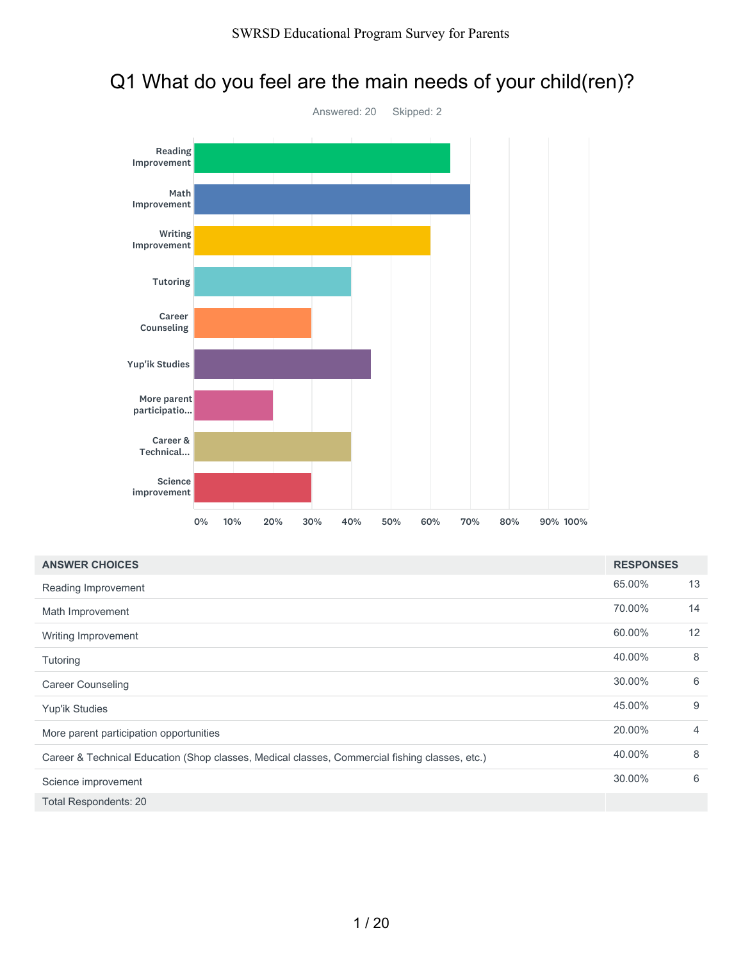# Q1 What do you feel are the main needs of your child(ren)?



| <b>ANSWER CHOICES</b>                                                                          | <b>RESPONSES</b> |    |
|------------------------------------------------------------------------------------------------|------------------|----|
| Reading Improvement                                                                            | 65.00%           | 13 |
| Math Improvement                                                                               | 70.00%           | 14 |
| Writing Improvement                                                                            | 60.00%           | 12 |
| Tutoring                                                                                       | 40.00%           | 8  |
| <b>Career Counseling</b>                                                                       | 30.00%           | 6  |
| Yup'ik Studies                                                                                 | 45.00%           | 9  |
| More parent participation opportunities                                                        | 20.00%           | 4  |
| Career & Technical Education (Shop classes, Medical classes, Commercial fishing classes, etc.) | 40.00%           | 8  |
| Science improvement                                                                            | 30.00%           | 6  |
| <b>Total Respondents: 20</b>                                                                   |                  |    |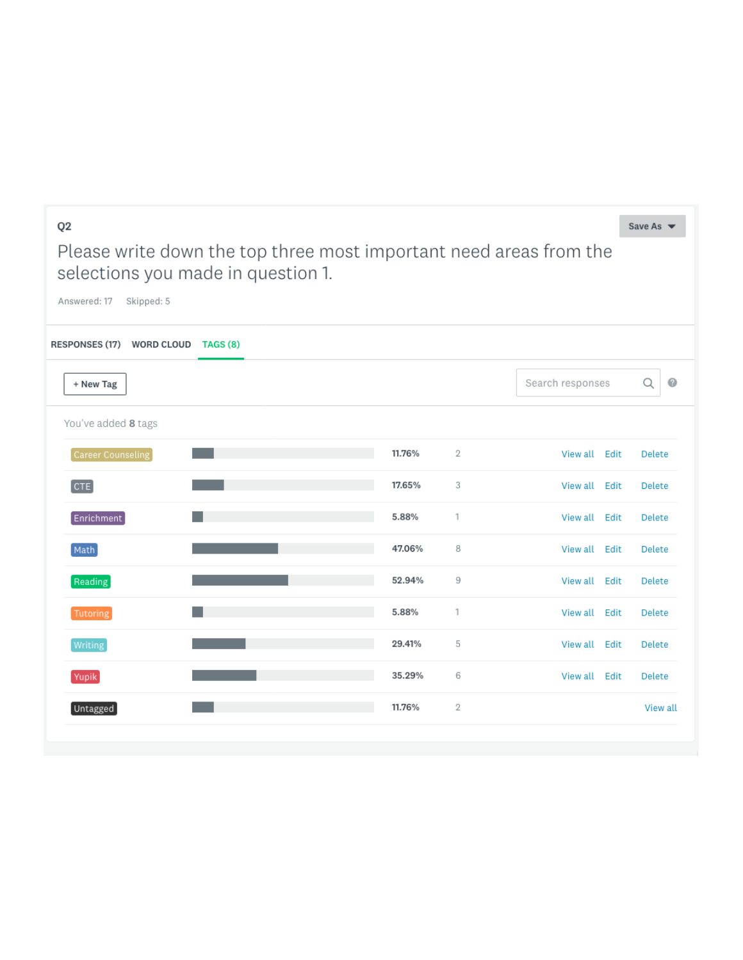|        |                |                  | Save As $\blacktriangledown$                                       |
|--------|----------------|------------------|--------------------------------------------------------------------|
|        |                |                  |                                                                    |
|        |                |                  |                                                                    |
|        |                |                  |                                                                    |
|        |                | Search responses | 0<br>Q                                                             |
|        |                |                  |                                                                    |
| 11.76% | $\overline{2}$ | View all<br>Edit | Delete                                                             |
| 17.65% | 3              | View all<br>Edit | Delete                                                             |
| 5.88%  | $\mathbf{1}$   | View all<br>Edit | Delete                                                             |
| 47.06% | 8              | View all<br>Edit | Delete                                                             |
| 52.94% | 9              | View all<br>Edit | Delete                                                             |
| 5.88%  | 1              | View all<br>Edit | Delete                                                             |
| 29.41% | 5              | View all<br>Edit | Delete                                                             |
| 35.29% | 6              | View all<br>Edit | Delete                                                             |
| 11.76% | 2              |                  | View all                                                           |
|        |                |                  | Please write down the top three most important need areas from the |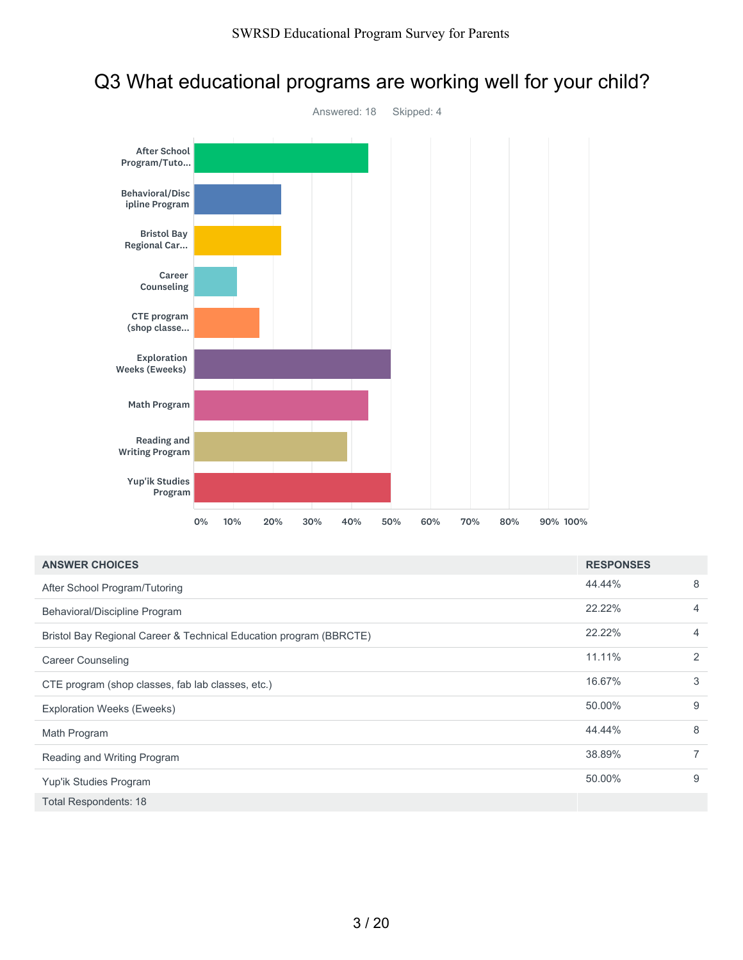# Q3 What educational programs are working well for your child?



| <b>ANSWER CHOICES</b>                                              | <b>RESPONSES</b> |   |
|--------------------------------------------------------------------|------------------|---|
| After School Program/Tutoring                                      | 44.44%           | 8 |
| Behavioral/Discipline Program                                      | 22.22%           | 4 |
| Bristol Bay Regional Career & Technical Education program (BBRCTE) | 22.22%           | 4 |
| <b>Career Counseling</b>                                           | 11.11%           | 2 |
| CTE program (shop classes, fab lab classes, etc.)                  | 16.67%           | 3 |
| <b>Exploration Weeks (Eweeks)</b>                                  | 50.00%           | 9 |
| Math Program                                                       | 44.44%           | 8 |
| Reading and Writing Program                                        | 38.89%           | 7 |
| Yup'ik Studies Program                                             | 50.00%           | 9 |
| <b>Total Respondents: 18</b>                                       |                  |   |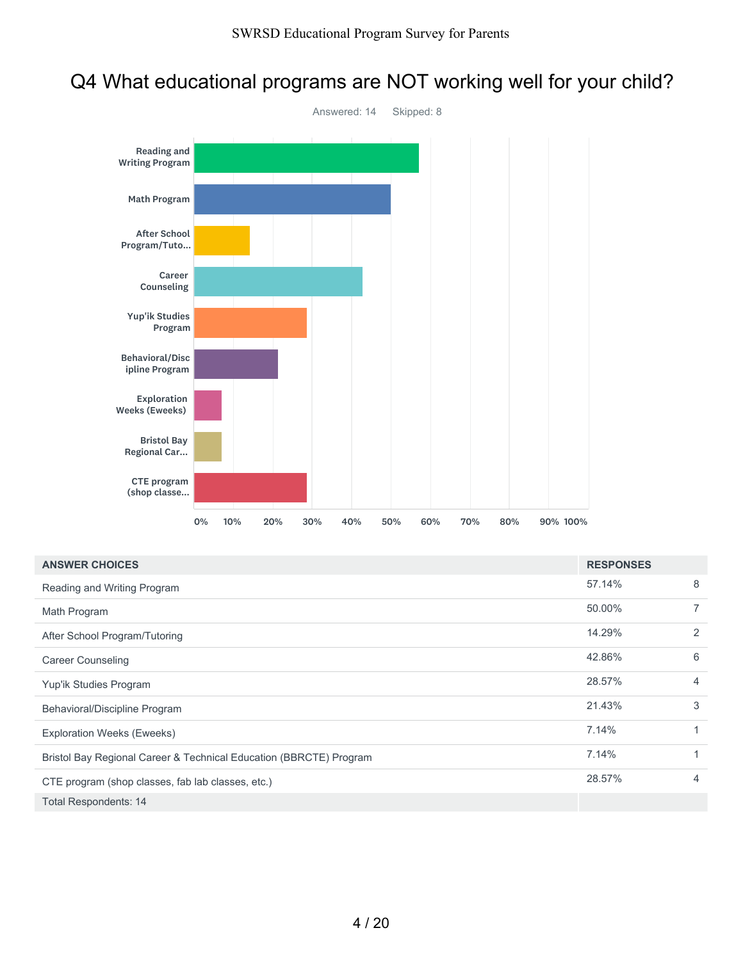# Q4 What educational programs are NOT working well for your child?



| <b>ANSWER CHOICES</b>                                              | <b>RESPONSES</b> |                |
|--------------------------------------------------------------------|------------------|----------------|
| Reading and Writing Program                                        | 57.14%           | 8              |
| Math Program                                                       | 50.00%           | $\overline{7}$ |
| After School Program/Tutoring                                      | 14.29%           | 2              |
| <b>Career Counseling</b>                                           | 42.86%           | 6              |
| Yup'ik Studies Program                                             | 28.57%           | 4              |
| Behavioral/Discipline Program                                      | 21.43%           | 3              |
| <b>Exploration Weeks (Eweeks)</b>                                  | 7.14%            | $\mathbf{1}$   |
| Bristol Bay Regional Career & Technical Education (BBRCTE) Program | 7.14%            | $\mathbf{1}$   |
| CTE program (shop classes, fab lab classes, etc.)                  | 28.57%           | 4              |
| <b>Total Respondents: 14</b>                                       |                  |                |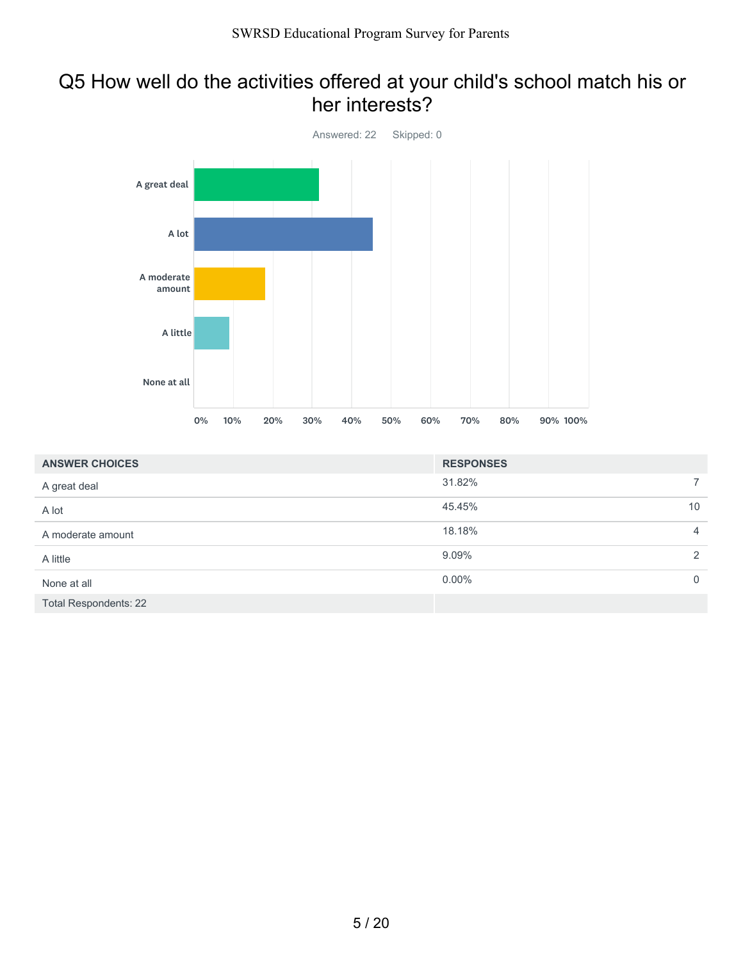### Q5 How well do the activities offered at your child's school match his or her interests?



| <b>ANSWER CHOICES</b>        | <b>RESPONSES</b> |                 |
|------------------------------|------------------|-----------------|
| A great deal                 | 31.82%           | $\overline{7}$  |
| A lot                        | 45.45%           | 10 <sup>°</sup> |
| A moderate amount            | 18.18%           | $\overline{4}$  |
| A little                     | 9.09%            | 2               |
| None at all                  | $0.00\%$         | $\mathbf 0$     |
| <b>Total Respondents: 22</b> |                  |                 |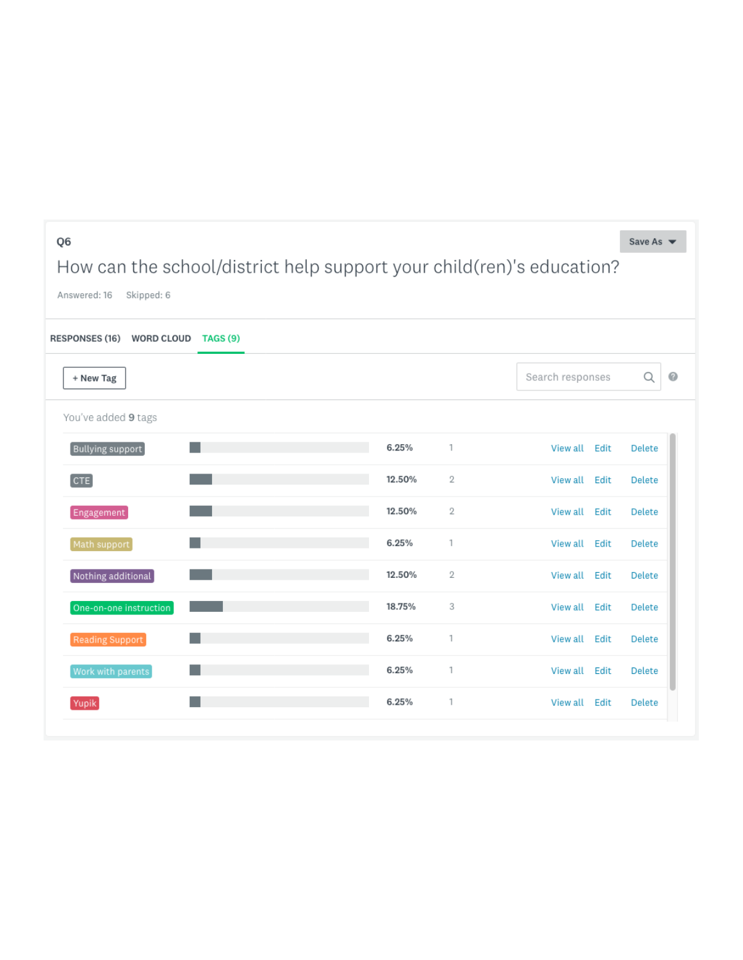| Q6<br>Answered: 16<br>Skipped: 6   | How can the school/district help support your child(ren)'s education? |        |                |                  | Save As $\blacktriangledown$ |
|------------------------------------|-----------------------------------------------------------------------|--------|----------------|------------------|------------------------------|
| RESPONSES (16) WORD CLOUD TAGS (9) |                                                                       |        |                |                  |                              |
| + New Tag                          |                                                                       |        |                | Search responses | Q<br>$\circ$                 |
| You've added 9 tags                |                                                                       |        |                |                  |                              |
| Bullying support                   |                                                                       | 6.25%  | 1              | View all Edit    | <b>Delete</b>                |
| [CTE]                              |                                                                       | 12.50% | 2              | View all Edit    | Delete                       |
| Engagement                         |                                                                       | 12.50% | $\overline{2}$ | View all Edit    | Delete                       |
| Math support                       |                                                                       | 6.25%  | 1              | View all Edit    | Delete                       |
| Nothing additional                 |                                                                       | 12.50% | $\overline{2}$ | View all Edit    | <b>Delete</b>                |
| One-on-one instruction             |                                                                       | 18.75% | 3              | View all Edit    | Delete                       |
| Reading Support                    |                                                                       | 6.25%  | 1              | View all Edit    | Delete                       |
| Work with parents                  |                                                                       | 6.25%  | $\mathbf{1}$   | View all Edit    | Delete                       |
| Yupik                              |                                                                       | 6.25%  | 1              | View all Edit    | Delete                       |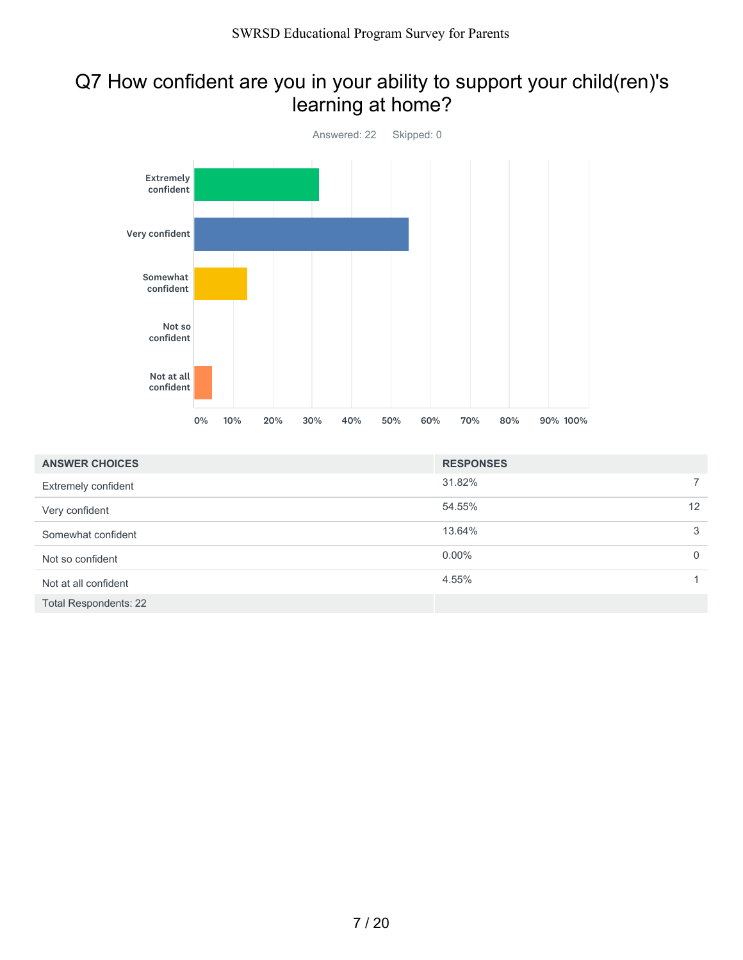# Q7 How confident are you in your ability to support your child(ren)'s learning at home?



| <b>ANSWER CHOICES</b> | <b>RESPONSES</b> |              |
|-----------------------|------------------|--------------|
| Extremely confident   | 31.82%           | $\mathbf{7}$ |
| Very confident        | 54.55%           | 12           |
| Somewhat confident    | 13.64%           | 3            |
| Not so confident      | $0.00\%$         | $\Omega$     |
| Not at all confident  | 4.55%            |              |
| Total Respondents: 22 |                  |              |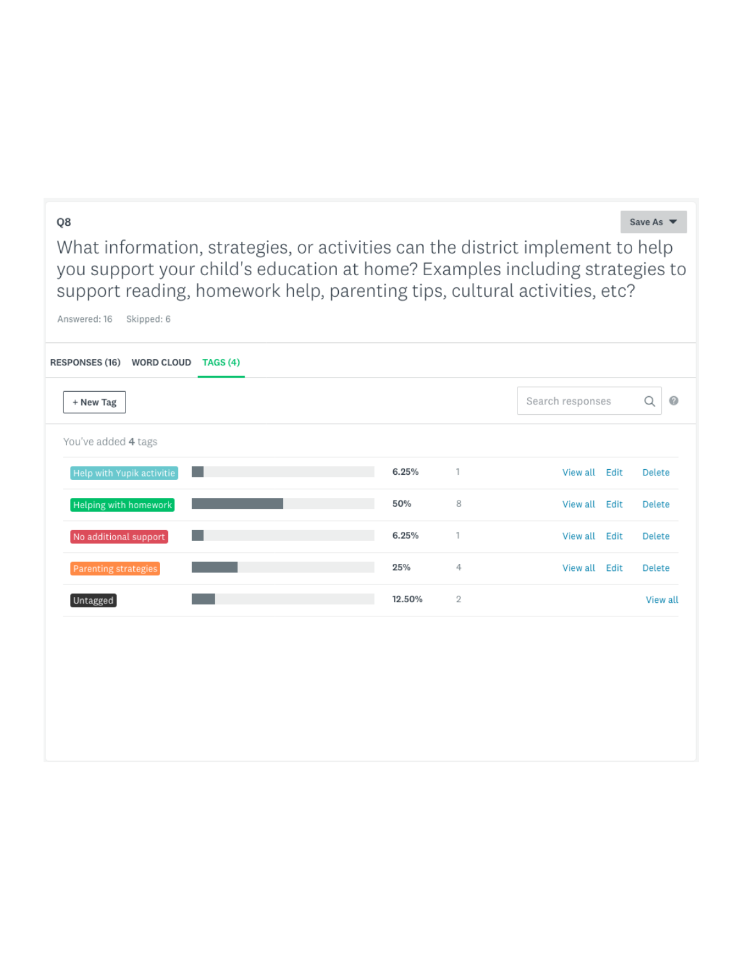#### Q8

Save As  $\blacktriangledown$ 

What information, strategies, or activities can the district implement to help you support your child's education at home? Examples including strategies to support reading, homework help, parenting tips, cultural activities, etc?

| Skipped: 6<br>Answered: 16         |        |   |                  |                |
|------------------------------------|--------|---|------------------|----------------|
| RESPONSES (16) WORD CLOUD TAGS (4) |        |   |                  |                |
| + New Tag                          |        |   | Search responses | $\bullet$<br>Q |
| You've added 4 tags                |        |   |                  |                |
| Help with Yupik activitie<br>a s   | 6.25%  | 1 | View all<br>Edit | Delete         |
| Helping with homework              | 50%    | 8 | View all<br>Edit | Delete         |
| No additional support              | 6.25%  | 1 | View all<br>Edit | Delete         |
| Parenting strategies               | 25%    | 4 | View all<br>Edit | Delete         |
| Untagged                           | 12.50% | 2 |                  | View all       |
|                                    |        |   |                  |                |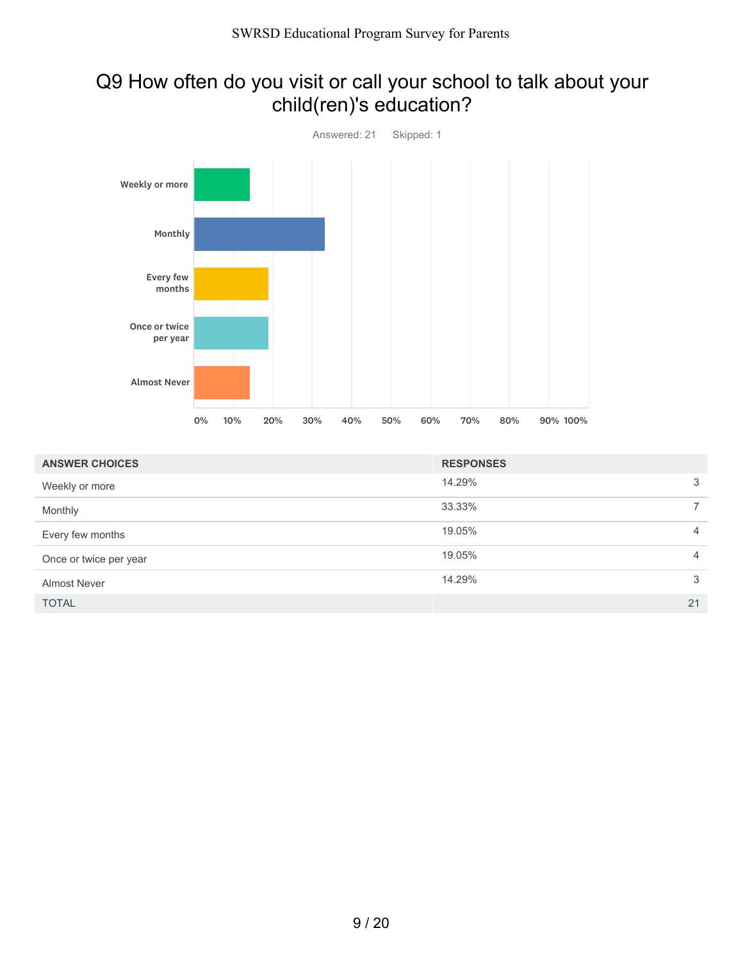# Q9 How often do you visit or call your school to talk about your child(ren)'s education?



| <b>ANSWER CHOICES</b>  | <b>RESPONSES</b> |                |
|------------------------|------------------|----------------|
| Weekly or more         | 14.29%           | 3              |
| Monthly                | 33.33%           | $\overline{7}$ |
| Every few months       | 19.05%           | $\overline{4}$ |
| Once or twice per year | 19.05%           | $\overline{4}$ |
| <b>Almost Never</b>    | 14.29%           | 3              |
| <b>TOTAL</b>           |                  | 21             |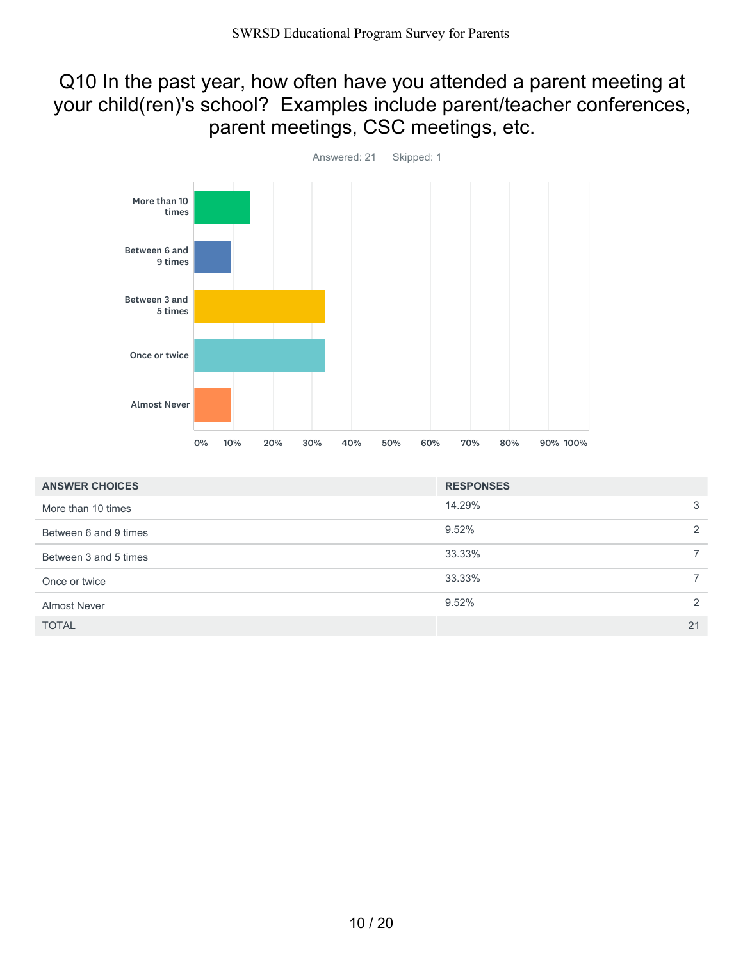### Q10 In the past year, how often have you attended a parent meeting at your child(ren)'s school? Examples include parent/teacher conferences, parent meetings, CSC meetings, etc.



| <b>ANSWER CHOICES</b> | <b>RESPONSES</b>         |
|-----------------------|--------------------------|
| More than 10 times    | 14.29%<br>3              |
| Between 6 and 9 times | 9.52%<br>2               |
| Between 3 and 5 times | 33.33%                   |
| Once or twice         | 33.33%<br>$\overline{7}$ |
| <b>Almost Never</b>   | 9.52%<br>2               |
| <b>TOTAL</b>          | 21                       |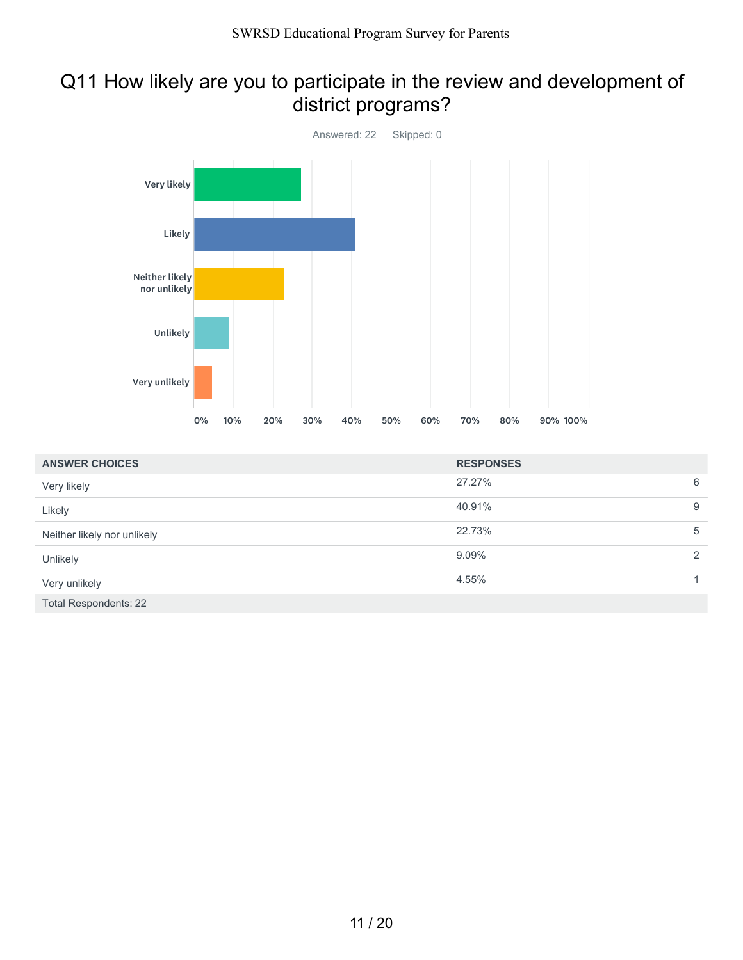# Q11 How likely are you to participate in the review and development of district programs?



| <b>ANSWER CHOICES</b>       | <b>RESPONSES</b> |                |
|-----------------------------|------------------|----------------|
| Very likely                 | 27.27%           | 6              |
| Likely                      | 40.91%           | 9              |
| Neither likely nor unlikely | 22.73%           | 5              |
| Unlikely                    | 9.09%            | $\overline{2}$ |
| Very unlikely               | 4.55%            |                |
| Total Respondents: 22       |                  |                |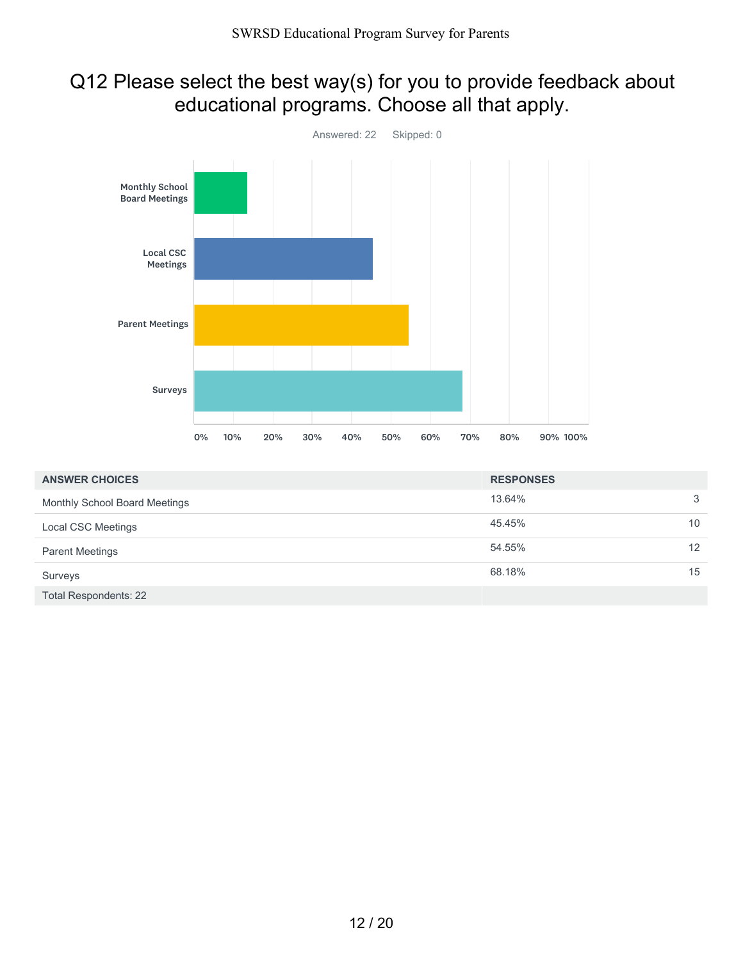# Q12 Please select the best way(s) for you to provide feedback about educational programs. Choose all that apply.



| <b>ANSWER CHOICES</b>         | <b>RESPONSES</b> |                 |
|-------------------------------|------------------|-----------------|
| Monthly School Board Meetings | 13.64%           | 3               |
| Local CSC Meetings            | 45.45%           | 10 <sup>°</sup> |
| <b>Parent Meetings</b>        | 54.55%           | 12 <sup>2</sup> |
| Surveys                       | 68.18%           | 15              |
| <b>Total Respondents: 22</b>  |                  |                 |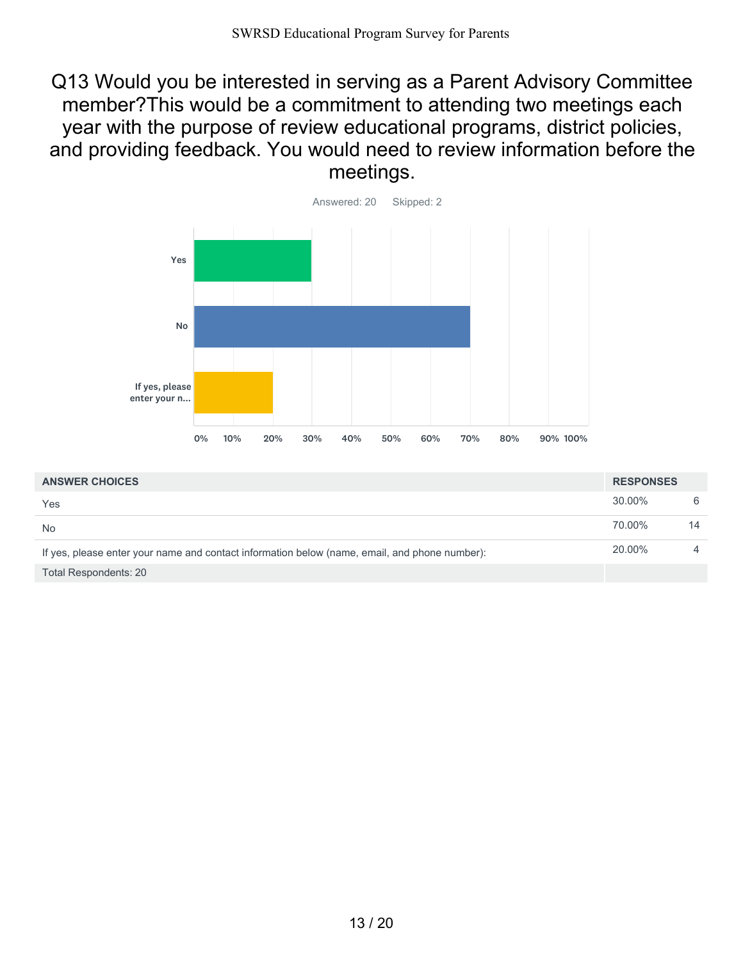Q13 Would you be interested in serving as a Parent Advisory Committee member?This would be a commitment to attending two meetings each year with the purpose of review educational programs, district policies, and providing feedback. You would need to review information before the meetings.



| <b>ANSWER CHOICES</b>                                                                         | <b>RESPONSES</b> |    |
|-----------------------------------------------------------------------------------------------|------------------|----|
| Yes                                                                                           | $30.00\%$        | 6  |
| <b>No</b>                                                                                     | 70.00%           | 14 |
| If yes, please enter your name and contact information below (name, email, and phone number): | 20.00%           |    |
| Total Respondents: 20                                                                         |                  |    |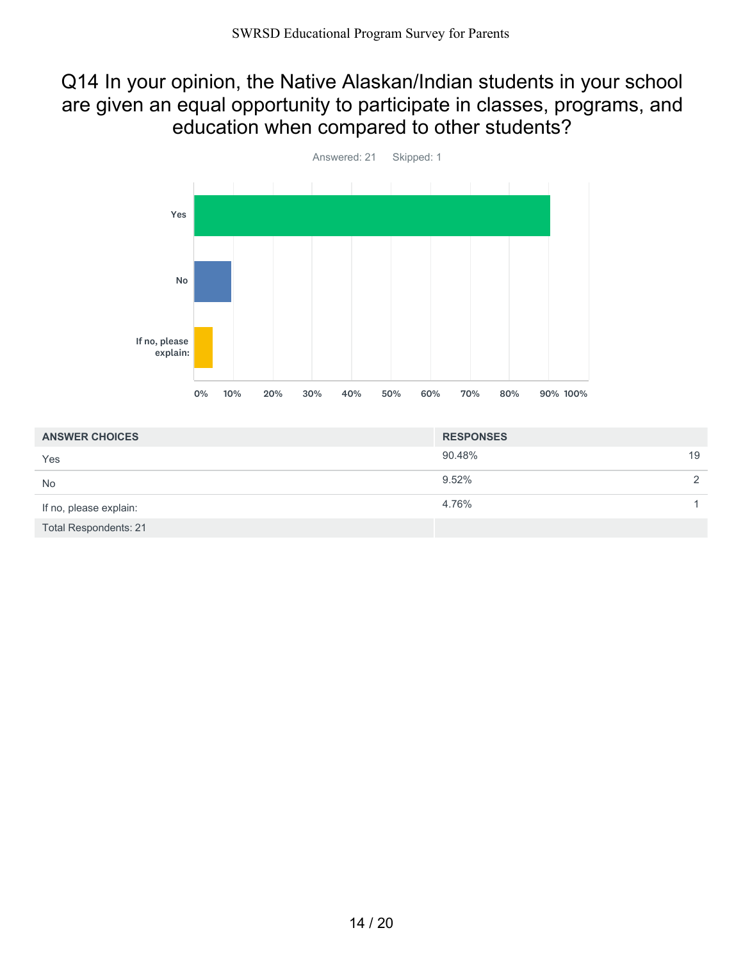### Q14 In your opinion, the Native Alaskan/Indian students in your school are given an equal opportunity to participate in classes, programs, and education when compared to other students?



| <b>ANSWER CHOICES</b>        | <b>RESPONSES</b> |               |
|------------------------------|------------------|---------------|
| Yes                          | 90.48%           | 19            |
| <b>No</b>                    | $9.52\%$         | $\mathcal{P}$ |
| If no, please explain:       | 4.76%            |               |
| <b>Total Respondents: 21</b> |                  |               |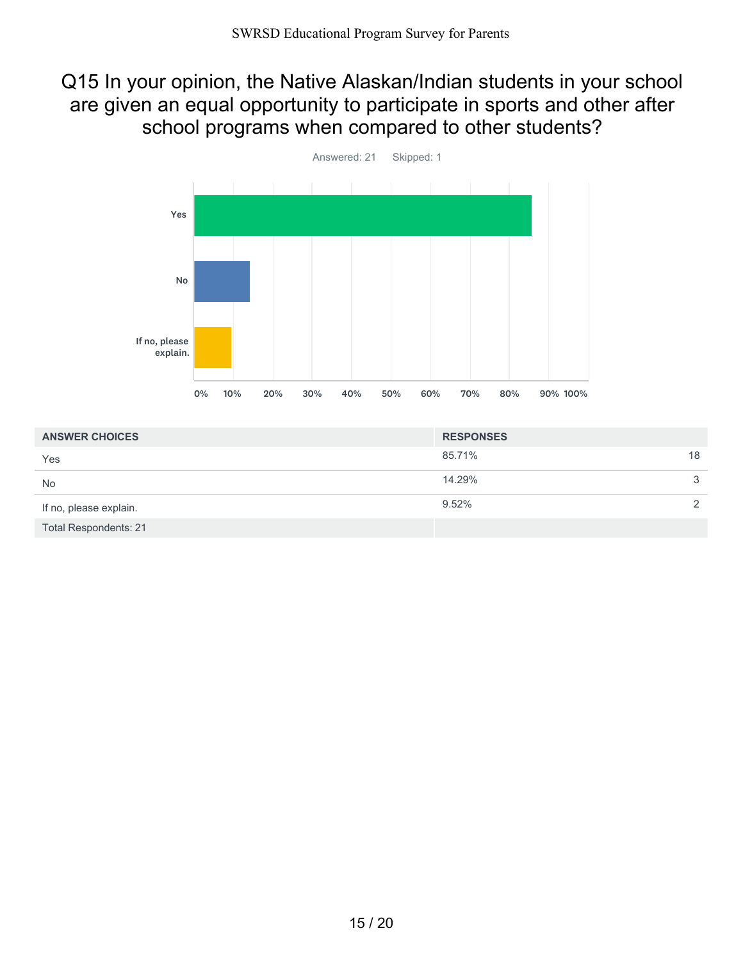### Q15 In your opinion, the Native Alaskan/Indian students in your school are given an equal opportunity to participate in sports and other after school programs when compared to other students?



| <b>ANSWER CHOICES</b>        | <b>RESPONSES</b> |               |
|------------------------------|------------------|---------------|
| Yes                          | 85.71%           | 18            |
| <b>No</b>                    | 14.29%           | 3             |
| If no, please explain.       | 9.52%            | $\mathcal{P}$ |
| <b>Total Respondents: 21</b> |                  |               |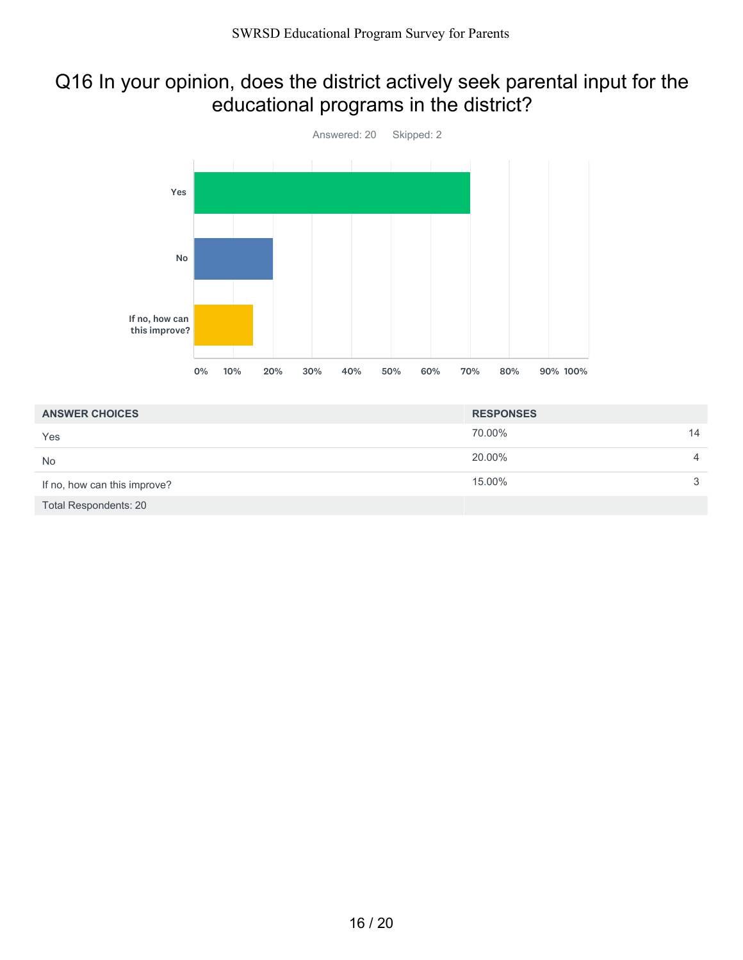# Q16 In your opinion, does the district actively seek parental input for the educational programs in the district?



| <b>ANSWER CHOICES</b>        | <b>RESPONSES</b> |    |
|------------------------------|------------------|----|
| Yes                          | 70.00%           | 14 |
| <b>No</b>                    | 20.00%           | 4  |
| If no, how can this improve? | 15.00%           | 3  |
| Total Respondents: 20        |                  |    |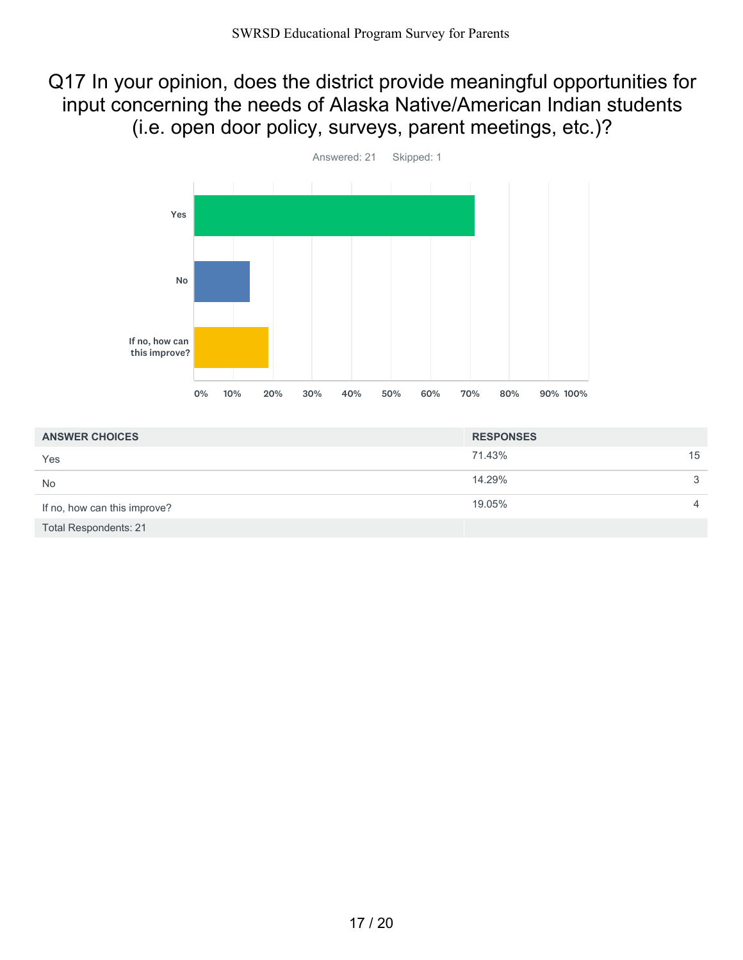# Q17 In your opinion, does the district provide meaningful opportunities for input concerning the needs of Alaska Native/American Indian students (i.e. open door policy, surveys, parent meetings, etc.)?



| <b>ANSWER CHOICES</b>        | <b>RESPONSES</b> |                |
|------------------------------|------------------|----------------|
| Yes                          | 71.43%           | 15             |
| <b>No</b>                    | 14.29%           | 3              |
| If no, how can this improve? | 19.05%           | $\overline{4}$ |
| <b>Total Respondents: 21</b> |                  |                |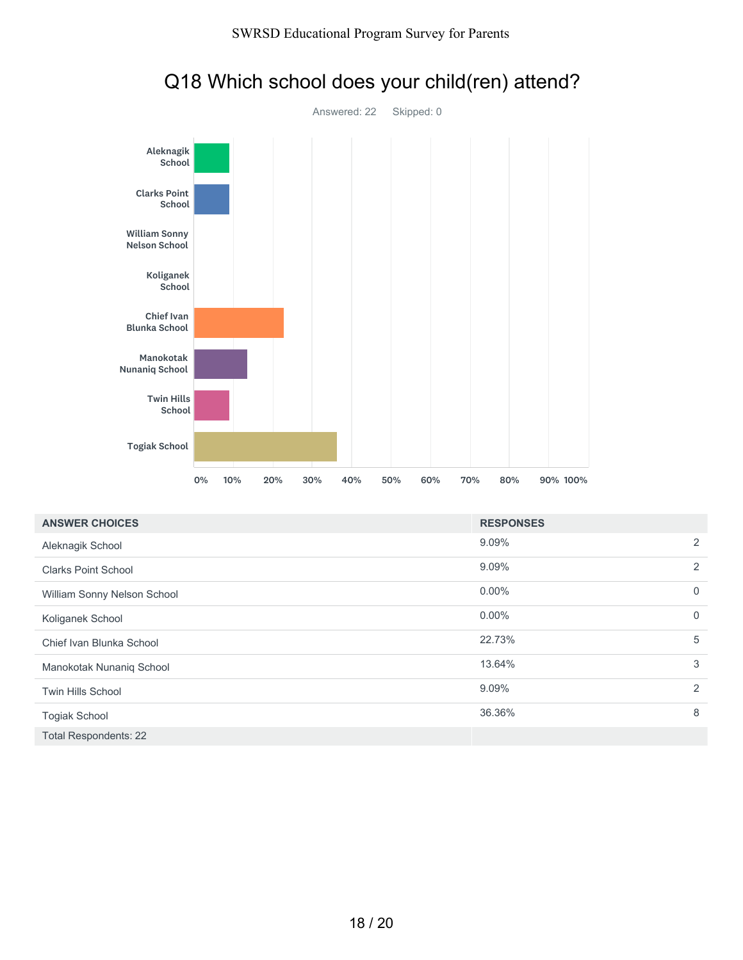

| <b>Blunka School</b>         |    |     |     |     |     |     |     |     |                  |          |                |
|------------------------------|----|-----|-----|-----|-----|-----|-----|-----|------------------|----------|----------------|
| Manokotak<br>Nunaniq School  |    |     |     |     |     |     |     |     |                  |          |                |
| <b>Twin Hills</b><br>School  |    |     |     |     |     |     |     |     |                  |          |                |
| <b>Togiak School</b>         |    |     |     |     |     |     |     |     |                  |          |                |
|                              | 0% | 10% | 20% | 30% | 40% | 50% | 60% | 70% | 80%              | 90% 100% |                |
| <b>ANSWER CHOICES</b>        |    |     |     |     |     |     |     |     | <b>RESPONSES</b> |          |                |
| Aleknagik School             |    |     |     |     |     |     |     |     | 9.09%            |          | $\overline{a}$ |
| <b>Clarks Point School</b>   |    |     |     |     |     |     |     |     | 9.09%            |          | $\overline{a}$ |
| William Sonny Nelson School  |    |     |     |     |     |     |     |     | 0.00%            |          | $\mathbf 0$    |
| Koliganek School             |    |     |     |     |     |     |     |     | $0.00\%$         |          | $\mathbf 0$    |
| Chief Ivan Blunka School     |    |     |     |     |     |     |     |     | 22.73%           |          | 5              |
| Manokotak Nunaniq School     |    |     |     |     |     |     |     |     | 13.64%           |          | 3              |
| Twin Hills School            |    |     |     |     |     |     |     |     | 9.09%            |          | $\overline{a}$ |
| Togiak School                |    |     |     |     |     |     |     |     | 36.36%           |          | 8              |
| <b>Total Respondents: 22</b> |    |     |     |     |     |     |     |     |                  |          |                |
|                              |    |     |     |     |     |     |     |     |                  |          |                |

### Q18 Which school does your child(ren) attend?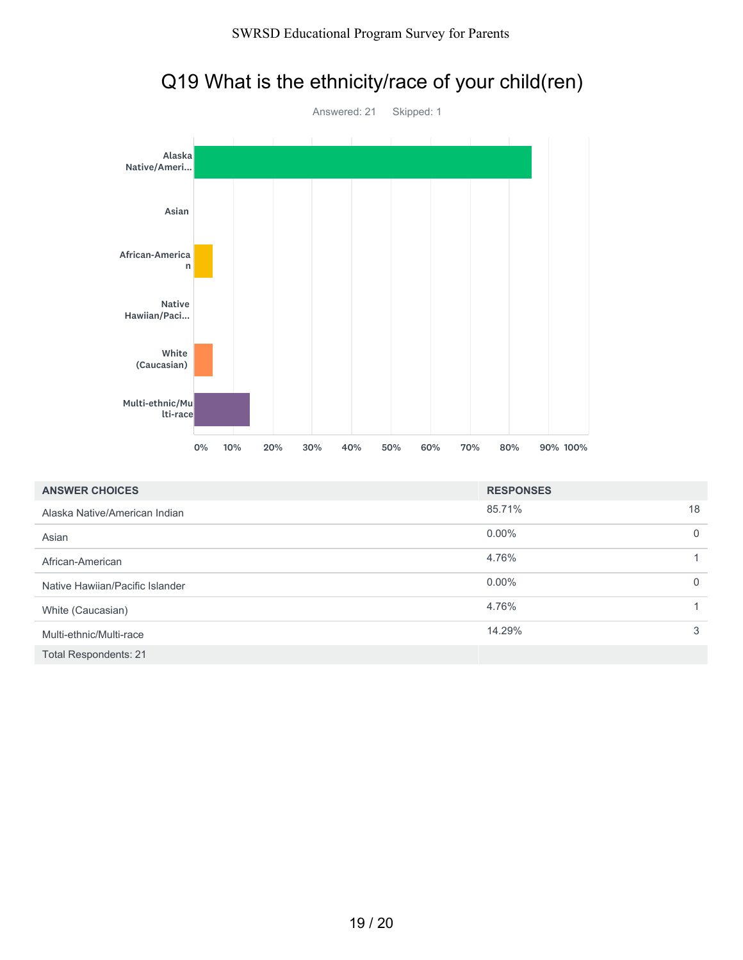

| .                               |    |     |     |     |     |     |     |     |                  |          |             |
|---------------------------------|----|-----|-----|-----|-----|-----|-----|-----|------------------|----------|-------------|
| White<br>(Caucasian)            |    |     |     |     |     |     |     |     |                  |          |             |
| Multi-ethnic/Mu<br>lti-race     |    |     |     |     |     |     |     |     |                  |          |             |
|                                 | 0% | 10% | 20% | 30% | 40% | 50% | 60% | 70% | 80%              | 90% 100% |             |
| <b>ANSWER CHOICES</b>           |    |     |     |     |     |     |     |     | <b>RESPONSES</b> |          |             |
| Alaska Native/American Indian   |    |     |     |     |     |     |     |     | 85.71%           |          | 18          |
| Asian                           |    |     |     |     |     |     |     |     | 0.00%            |          | $\mathbf 0$ |
| African-American                |    |     |     |     |     |     |     |     | 4.76%            |          | 1           |
| Native Hawiian/Pacific Islander |    |     |     |     |     |     |     |     | 0.00%            |          | $\mathbf 0$ |
| White (Caucasian)               |    |     |     |     |     |     |     |     | 4.76%            |          | 1           |
| Multi-ethnic/Multi-race         |    |     |     |     |     |     |     |     | 14.29%           |          | 3           |
| <b>Total Respondents: 21</b>    |    |     |     |     |     |     |     |     |                  |          |             |

# Q19 What is the ethnicity/race of your child(ren)